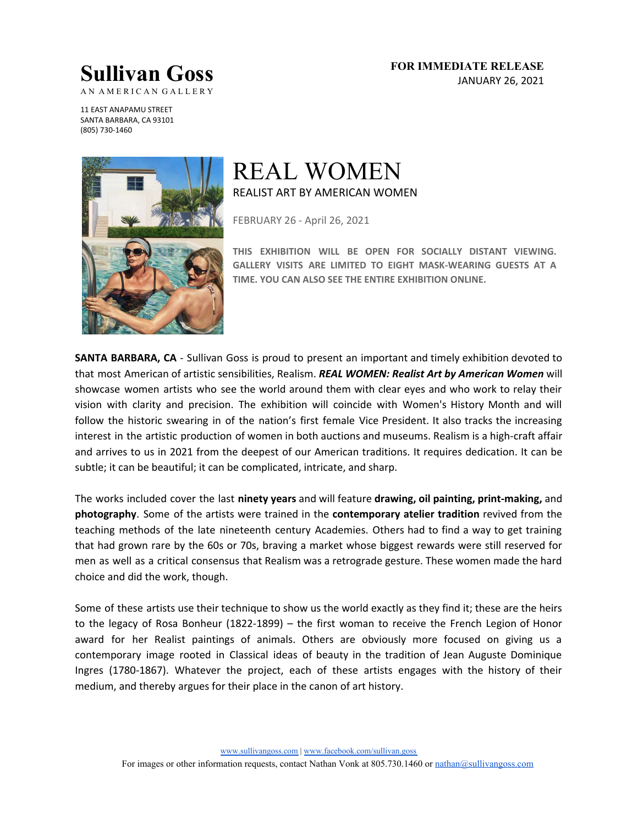## **Sullivan Goss**

**FOR IMMEDIATE RELEASE** JANUARY 26, 2021

AN AMERICAN GALLERY

11 EAST ANAPAMU STREET SANTA BARBARA, CA 93101 (805) 730-1460



## REAL WOMEN REALIST ART BY AMERICAN WOMEN

FEBRUARY 26 - April 26, 2021

**THIS EXHIBITION WILL BE OPEN FOR SOCIALLY DISTANT VIEWING. GALLERY VISITS ARE LIMITED TO EIGHT MASK-WEARING GUESTS AT A TIME. YOU CAN ALSO SEE THE ENTIRE EXHIBITION ONLINE.**

**SANTA BARBARA, CA** - Sullivan Goss is proud to present an important and timely exhibition devoted to that most American of artistic sensibilities, Realism. *REAL WOMEN: Realist Art by American Women* will showcase women artists who see the world around them with clear eyes and who work to relay their vision with clarity and precision. The exhibition will coincide with Women's History Month and will follow the historic swearing in of the nation's first female Vice President. It also tracks the increasing interest in the artistic production of women in both auctions and museums. Realism is a high-craft affair and arrives to us in 2021 from the deepest of our American traditions. It requires dedication. It can be subtle; it can be beautiful; it can be complicated, intricate, and sharp.

The works included cover the last **ninety years** and will feature **drawing, oil painting, print-making,** and **photography**. Some of the artists were trained in the **contemporary atelier tradition** revived from the teaching methods of the late nineteenth century Academies. Others had to find a way to get training that had grown rare by the 60s or 70s, braving a market whose biggest rewards were still reserved for men as well as a critical consensus that Realism was a retrograde gesture. These women made the hard choice and did the work, though.

Some of these artists use their technique to show us the world exactly as they find it; these are the heirs to the legacy of Rosa Bonheur (1822-1899) – the first woman to receive the French Legion of Honor award for her Realist paintings of animals. Others are obviously more focused on giving us a contemporary image rooted in Classical ideas of beauty in the tradition of Jean Auguste Dominique Ingres (1780-1867). Whatever the project, each of these artists engages with the history of their medium, and thereby argues for their place in the canon of art history.